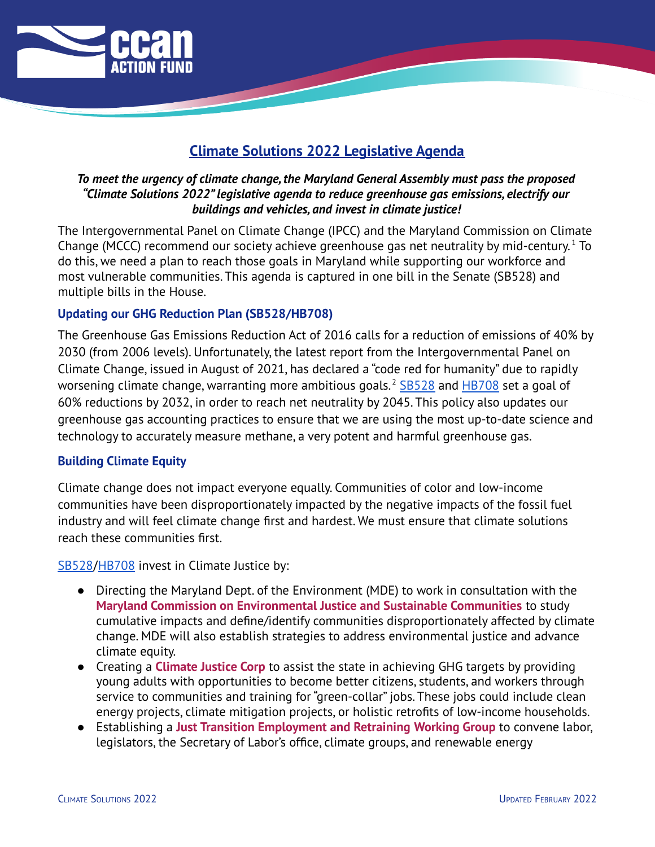

# **Climate Solutions 2022 Legislative Agenda**

# *To meet the urgency of climate change,the Maryland General Assembly must pass the proposed "Climate Solutions 2022"legislative agenda to reduce greenhouse gas emissions, electrify our buildings and vehicles, and invest in climate justice!*

The Intergovernmental Panel on Climate Change (IPCC) and the Maryland Commission on Climate Change (MCCC) recommend our society achieve greenhouse gas net neutrality by mid-century.<sup>1</sup> To do this, we need a plan to reach those goals in Maryland while supporting our workforce and most vulnerable communities. This agenda is captured in one bill in the Senate (SB528) and multiple bills in the House.

# **Updating our GHG Reduction Plan (SB528/HB708)**

The Greenhouse Gas Emissions Reduction Act of 2016 calls for a reduction of emissions of 40% by 2030 (from 2006 levels). Unfortunately, the latest report from the Intergovernmental Panel on Climate Change, issued in August of 2021, has declared a "code red for humanity" due to rapidly worsening climate change, warranting more ambitious goals.<sup>2</sup> [SB528](https://mgaleg.maryland.gov/mgawebsite/Legislation/Details/SB0528) and [HB708](https://mgaleg.maryland.gov/mgawebsite/Legislation/Details/hb0708) set a goal of 60% reductions by 2032, in order to reach net neutrality by 2045. This policy also updates our greenhouse gas accounting practices to ensure that we are using the most up-to-date science and technology to accurately measure methane, a very potent and harmful greenhouse gas.

## **Building Climate Equity**

Climate change does not impact everyone equally. Communities of color and low-income communities have been disproportionately impacted by the negative impacts of the fossil fuel industry and will feel climate change first and hardest. We must ensure that climate solutions reach these communities first.

## [SB528](https://mgaleg.maryland.gov/mgawebsite/Legislation/Details/SB0528)/[HB708](https://mgaleg.maryland.gov/mgawebsite/Legislation/Details/hb0708) invest in Climate Justice by:

- Directing the Maryland Dept. of the Environment (MDE) to work in consultation with the **Maryland Commission on Environmental Justice and Sustainable Communities** to study cumulative impacts and define/identify communities disproportionately affected by climate change. MDE will also establish strategies to address environmental justice and advance climate equity.
- Creating a **Climate Justice Corp** to assist the state in achieving GHG targets by providing young adults with opportunities to become better citizens, students, and workers through service to communities and training for "green-collar" jobs. These jobs could include clean energy projects, climate mitigation projects, or holistic retrofits of low-income households.
- Establishing a **Just Transition Employment and Retraining Working Group** to convene labor, legislators, the Secretary of Labor's office, climate groups, and renewable energy